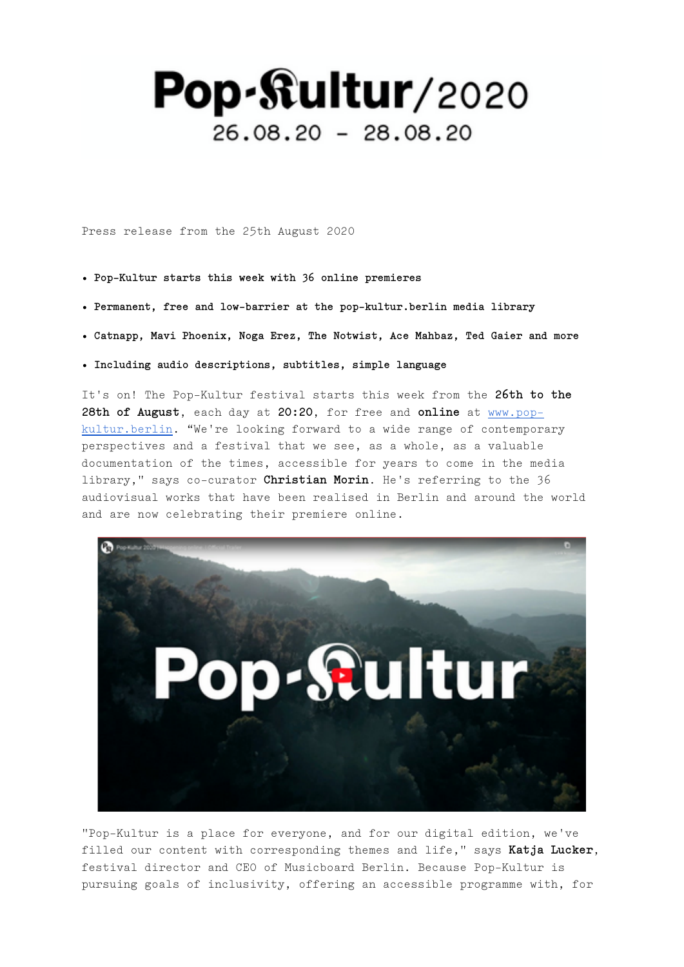## **Pop-Stultur**/2020  $26.08.20 - 28.08.20$

Press release from the 25th August 2020

- **Pop-Kultur starts this week with 36 online premieres**
- **Permanent, free and low-barrier at the pop-kultur.berlin media library**
- **Catnapp, Mavi Phoenix, Noga Erez, The Notwist, Ace Mahbaz, Ted Gaier and more**
- **Including audio descriptions, subtitles, simple language**

It's on! The Pop-Kultur festival starts this week from the **26th to the 28th of August**, each day at **20:20**, for free and **online** at [www.pop](http://www.pop-kultur.berlin/)[kultur.berlin](http://www.pop-kultur.berlin/). "We're looking forward to a wide range of contemporary perspectives and a festival that we see, as a whole, as a valuable documentation of the times, accessible for years to come in the media library," says co-curator **Christian Morin**. He's referring to the 36 audiovisual works that have been realised in Berlin and around the world and are now celebrating their premiere online.



"Pop-Kultur is a place for everyone, and for our digital edition, we've filled our content with corresponding themes and life," says **Katja Lucker**, festival director and CEO of Musicboard Berlin. Because Pop-Kultur is pursuing goals of inclusivity, offering an accessible programme with, for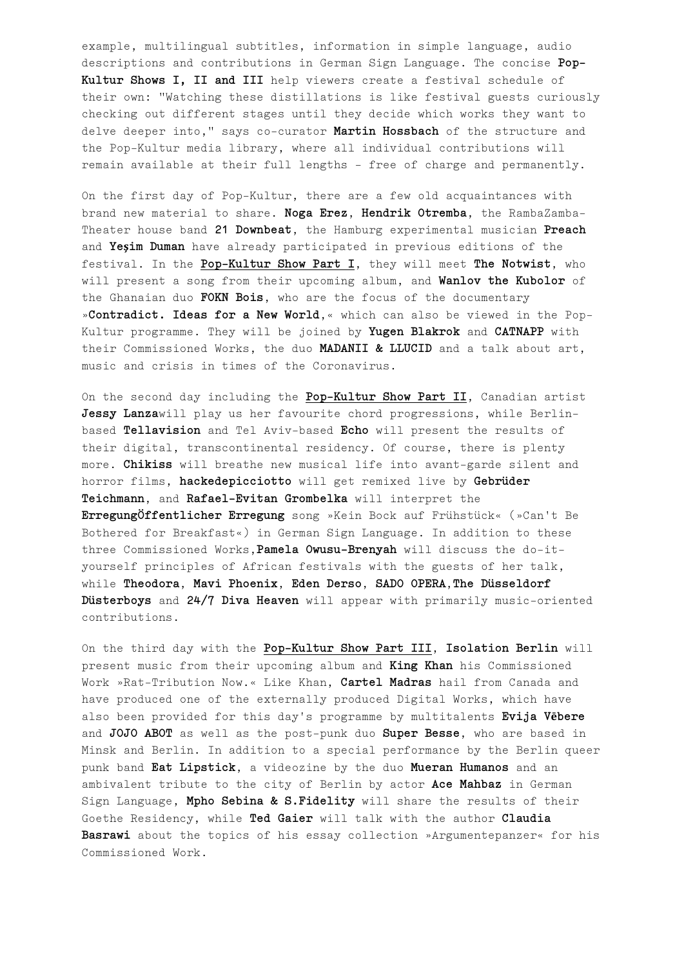example, multilingual subtitles, information in simple language, audio descriptions and contributions in German Sign Language. The concise **Pop-Kultur Shows I, II and III** help viewers create a festival schedule of their own: "Watching these distillations is like festival guests curiously checking out different stages until they decide which works they want to delve deeper into," says co-curator **Martin Hossbach** of the structure and the Pop-Kultur media library, where all individual contributions will remain available at their full lengths - free of charge and permanently.

On the first day of Pop-Kultur, there are a few old acquaintances with brand new material to share. **Noga Erez**, **Hendrik Otremba**, the RambaZamba-Theater house band **21 Downbeat**, the Hamburg experimental musician **Preach** and **Yeşim Duman** have already participated in previous editions of the festival. In the **[Pop-Kultur Show Part I](https://www.pop-kultur.berlin/en/artists/pop-kultur-202026-8-2020-part-i/)**, they will meet **The Notwist**, who will present a song from their upcoming album, and **Wanlov the Kubolor** of the Ghanaian duo **FOKN Bois**, who are the focus of the documentary »**Contradict. Ideas for a New World**,« which can also be viewed in the Pop-Kultur programme. They will be joined by **Yugen Blakrok** and **CATNAPP** with their Commissioned Works, the duo **MADANII & LLUCID** and a talk about art, music and crisis in times of the Coronavirus.

On the second day including the **[Pop-Kultur Show Part II](https://www.pop-kultur.berlin/en/artists/pop-kultur-202027-8-2020-part-ii/)**, Canadian artist **Jessy Lanza**will play us her favourite chord progressions, while Berlinbased **Tellavision** and Tel Aviv-based **Echo** will present the results of their digital, transcontinental residency. Of course, there is plenty more. **Chikiss** will breathe new musical life into avant-garde silent and horror films, **hackedepicciotto** will get remixed live by **Gebrüder Teichmann**, and **Rafael-Evitan Grombelka** will interpret the **ErregungÖffentlicher Erregung** song »Kein Bock auf Frühstück« (»Can't Be Bothered for Breakfast«) in German Sign Language. In addition to these three Commissioned Works,**Pamela Owusu-Brenyah** will discuss the do-ityourself principles of African festivals with the guests of her talk, while **Theodora**, **Mavi Phoenix**, **Eden Derso**, **SADO OPERA**,**The Düsseldorf Düsterboys** and **24/7 Diva Heaven** will appear with primarily music-oriented contributions.

On the third day with the **[Pop-Kultur Show Part III](https://www.pop-kultur.berlin/en/artists/pop-kultur-202028-8-2020-part-iii/)**, **Isolation Berlin** will present music from their upcoming album and **King Khan** his Commissioned Work »Rat-Tribution Now.« Like Khan, **Cartel Madras** hail from Canada and have produced one of the externally produced Digital Works, which have also been provided for this day's programme by multitalents **Evija Vēbere** and **JOJO ABOT** as well as the post-punk duo **Super Besse**, who are based in Minsk and Berlin. In addition to a special performance by the Berlin queer punk band **Eat Lipstick**, a videozine by the duo **Mueran Humanos** and an ambivalent tribute to the city of Berlin by actor **Ace Mahbaz** in German Sign Language, **Mpho Sebina & S.Fidelity** will share the results of their Goethe Residency, while **Ted Gaier** will talk with the author **Claudia Basrawi** about the topics of his essay collection »Argumentepanzer« for his Commissioned Work.